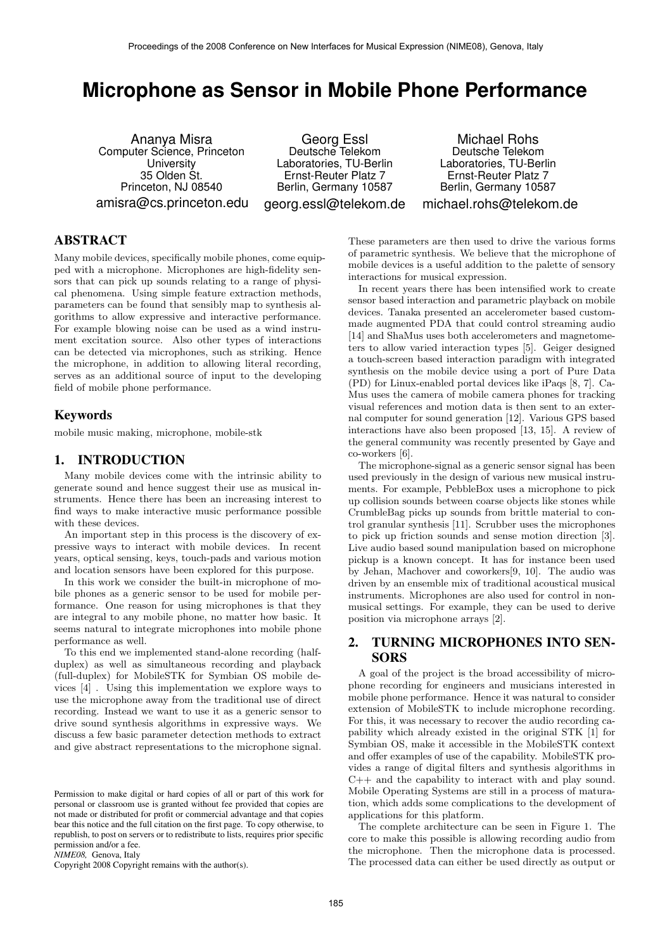# **Microphone as Sensor in Mobile Phone Performance**

Ananya Misra Computer Science, Princeton **University** 35 Olden St. Princeton, NJ 08540 amisra@cs.princeton.edu

Georg Essl Deutsche Telekom Laboratories, TU-Berlin Ernst-Reuter Platz 7 Berlin, Germany 10587 georg.essl@telekom.de

Michael Rohs Deutsche Telekom Laboratories, TU-Berlin Ernst-Reuter Platz 7 Berlin, Germany 10587 michael.rohs@telekom.de

# ABSTRACT

Many mobile devices, specifically mobile phones, come equipped with a microphone. Microphones are high-fidelity sensors that can pick up sounds relating to a range of physical phenomena. Using simple feature extraction methods, parameters can be found that sensibly map to synthesis algorithms to allow expressive and interactive performance. For example blowing noise can be used as a wind instrument excitation source. Also other types of interactions can be detected via microphones, such as striking. Hence the microphone, in addition to allowing literal recording, serves as an additional source of input to the developing field of mobile phone performance.

## Keywords

mobile music making, microphone, mobile-stk

## 1. INTRODUCTION

Many mobile devices come with the intrinsic ability to generate sound and hence suggest their use as musical instruments. Hence there has been an increasing interest to find ways to make interactive music performance possible with these devices.

An important step in this process is the discovery of expressive ways to interact with mobile devices. In recent years, optical sensing, keys, touch-pads and various motion and location sensors have been explored for this purpose.

In this work we consider the built-in microphone of mobile phones as a generic sensor to be used for mobile performance. One reason for using microphones is that they are integral to any mobile phone, no matter how basic. It seems natural to integrate microphones into mobile phone performance as well.

To this end we implemented stand-alone recording (halfduplex) as well as simultaneous recording and playback (full-duplex) for MobileSTK for Symbian OS mobile devices [4] . Using this implementation we explore ways to use the microphone away from the traditional use of direct recording. Instead we want to use it as a generic sensor to drive sound synthesis algorithms in expressive ways. We discuss a few basic parameter detection methods to extract and give abstract representations to the microphone signal.

*NIME08,* Genova, Italy

Copyright 2008 Copyright remains with the author(s).

These parameters are then used to drive the various forms of parametric synthesis. We believe that the microphone of mobile devices is a useful addition to the palette of sensory interactions for musical expression.

In recent years there has been intensified work to create sensor based interaction and parametric playback on mobile devices. Tanaka presented an accelerometer based custommade augmented PDA that could control streaming audio [14] and ShaMus uses both accelerometers and magnetometers to allow varied interaction types [5]. Geiger designed a touch-screen based interaction paradigm with integrated synthesis on the mobile device using a port of Pure Data (PD) for Linux-enabled portal devices like iPaqs [8, 7]. Ca-Mus uses the camera of mobile camera phones for tracking visual references and motion data is then sent to an external computer for sound generation [12]. Various GPS based interactions have also been proposed [13, 15]. A review of the general community was recently presented by Gaye and co-workers [6].

The microphone-signal as a generic sensor signal has been used previously in the design of various new musical instruments. For example, PebbleBox uses a microphone to pick up collision sounds between coarse objects like stones while CrumbleBag picks up sounds from brittle material to control granular synthesis [11]. Scrubber uses the microphones to pick up friction sounds and sense motion direction [3]. Live audio based sound manipulation based on microphone pickup is a known concept. It has for instance been used by Jehan, Machover and coworkers[9, 10]. The audio was driven by an ensemble mix of traditional acoustical musical instruments. Microphones are also used for control in nonmusical settings. For example, they can be used to derive position via microphone arrays [2].

# 2. TURNING MICROPHONES INTO SEN-SORS

A goal of the project is the broad accessibility of microphone recording for engineers and musicians interested in mobile phone performance. Hence it was natural to consider extension of MobileSTK to include microphone recording. For this, it was necessary to recover the audio recording capability which already existed in the original STK [1] for Symbian OS, make it accessible in the MobileSTK context and offer examples of use of the capability. MobileSTK provides a range of digital filters and synthesis algorithms in C++ and the capability to interact with and play sound. Mobile Operating Systems are still in a process of maturation, which adds some complications to the development of applications for this platform.

The complete architecture can be seen in Figure 1. The core to make this possible is allowing recording audio from the microphone. Then the microphone data is processed. The processed data can either be used directly as output or

Permission to make digital or hard copies of all or part of this work for personal or classroom use is granted without fee provided that copies are not made or distributed for profit or commercial advantage and that copies bear this notice and the full citation on the first page. To copy otherwise, to republish, to post on servers or to redistribute to lists, requires prior specific permission and/or a fee.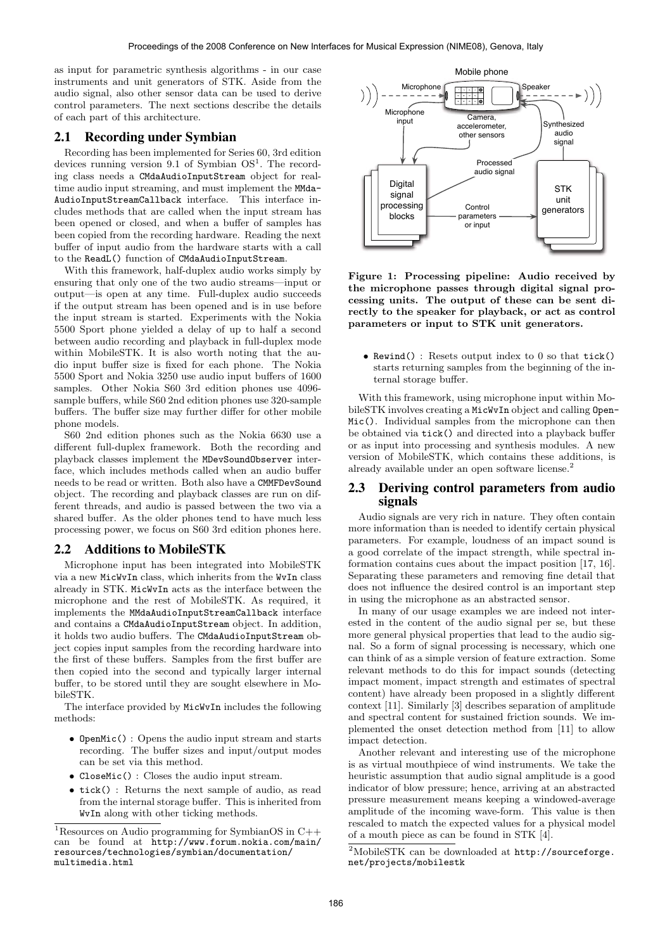as input for parametric synthesis algorithms - in our case instruments and unit generators of STK. Aside from the audio signal, also other sensor data can be used to derive control parameters. The next sections describe the details of each part of this architecture.

#### 2.1 Recording under Symbian

Recording has been implemented for Series 60, 3rd edition devices running version 9.1 of Symbian  $OS<sup>1</sup>$ . The recording class needs a CMdaAudioInputStream object for realtime audio input streaming, and must implement the MMda-AudioInputStreamCallback interface. This interface includes methods that are called when the input stream has been opened or closed, and when a buffer of samples has been copied from the recording hardware. Reading the next buffer of input audio from the hardware starts with a call to the ReadL() function of CMdaAudioInputStream.

With this framework, half-duplex audio works simply by ensuring that only one of the two audio streams—input or output—is open at any time. Full-duplex audio succeeds if the output stream has been opened and is in use before the input stream is started. Experiments with the Nokia 5500 Sport phone yielded a delay of up to half a second between audio recording and playback in full-duplex mode within MobileSTK. It is also worth noting that the audio input buffer size is fixed for each phone. The Nokia 5500 Sport and Nokia 3250 use audio input buffers of 1600 samples. Other Nokia S60 3rd edition phones use 4096 sample buffers, while S60 2nd edition phones use 320-sample buffers. The buffer size may further differ for other mobile phone models.

S60 2nd edition phones such as the Nokia 6630 use a different full-duplex framework. Both the recording and playback classes implement the MDevSoundObserver interface, which includes methods called when an audio buffer needs to be read or written. Both also have a CMMFDevSound object. The recording and playback classes are run on different threads, and audio is passed between the two via a shared buffer. As the older phones tend to have much less processing power, we focus on S60 3rd edition phones here.

#### 2.2 Additions to MobileSTK

Microphone input has been integrated into MobileSTK via a new MicWvIn class, which inherits from the WvIn class already in STK. MicWvIn acts as the interface between the microphone and the rest of MobileSTK. As required, it implements the MMdaAudioInputStreamCallback interface and contains a CMdaAudioInputStream object. In addition, it holds two audio buffers. The CMdaAudioInputStream object copies input samples from the recording hardware into the first of these buffers. Samples from the first buffer are then copied into the second and typically larger internal buffer, to be stored until they are sought elsewhere in MobileSTK.

The interface provided by MicWvIn includes the following methods:

- OpenMic() : Opens the audio input stream and starts recording. The buffer sizes and input/output modes can be set via this method.
- CloseMic() : Closes the audio input stream.
- tick() : Returns the next sample of audio, as read from the internal storage buffer. This is inherited from WvIn along with other ticking methods.



Figure 1: Processing pipeline: Audio received by the microphone passes through digital signal processing units. The output of these can be sent directly to the speaker for playback, or act as control parameters or input to STK unit generators.

• Rewind() : Resets output index to 0 so that tick() starts returning samples from the beginning of the internal storage buffer.

With this framework, using microphone input within MobileSTK involves creating a MicWvIn object and calling Open-Mic(). Individual samples from the microphone can then be obtained via tick() and directed into a playback buffer or as input into processing and synthesis modules. A new version of MobileSTK, which contains these additions, is already available under an open software license.<sup>2</sup>

## 2.3 Deriving control parameters from audio signals

Audio signals are very rich in nature. They often contain more information than is needed to identify certain physical parameters. For example, loudness of an impact sound is a good correlate of the impact strength, while spectral information contains cues about the impact position [17, 16]. Separating these parameters and removing fine detail that does not influence the desired control is an important step in using the microphone as an abstracted sensor.

In many of our usage examples we are indeed not interested in the content of the audio signal per se, but these more general physical properties that lead to the audio signal. So a form of signal processing is necessary, which one can think of as a simple version of feature extraction. Some relevant methods to do this for impact sounds (detecting impact moment, impact strength and estimates of spectral content) have already been proposed in a slightly different context [11]. Similarly [3] describes separation of amplitude and spectral content for sustained friction sounds. We implemented the onset detection method from [11] to allow impact detection.

Another relevant and interesting use of the microphone is as virtual mouthpiece of wind instruments. We take the heuristic assumption that audio signal amplitude is a good indicator of blow pressure; hence, arriving at an abstracted pressure measurement means keeping a windowed-average amplitude of the incoming wave-form. This value is then rescaled to match the expected values for a physical model of a mouth piece as can be found in STK [4].

<sup>&</sup>lt;sup>1</sup>Resources on Audio programming for SymbianOS in C++ can be found at http://www.forum.nokia.com/main/ resources/technologies/symbian/documentation/ multimedia.html

<sup>2</sup>MobileSTK can be downloaded at http://sourceforge. net/projects/mobilestk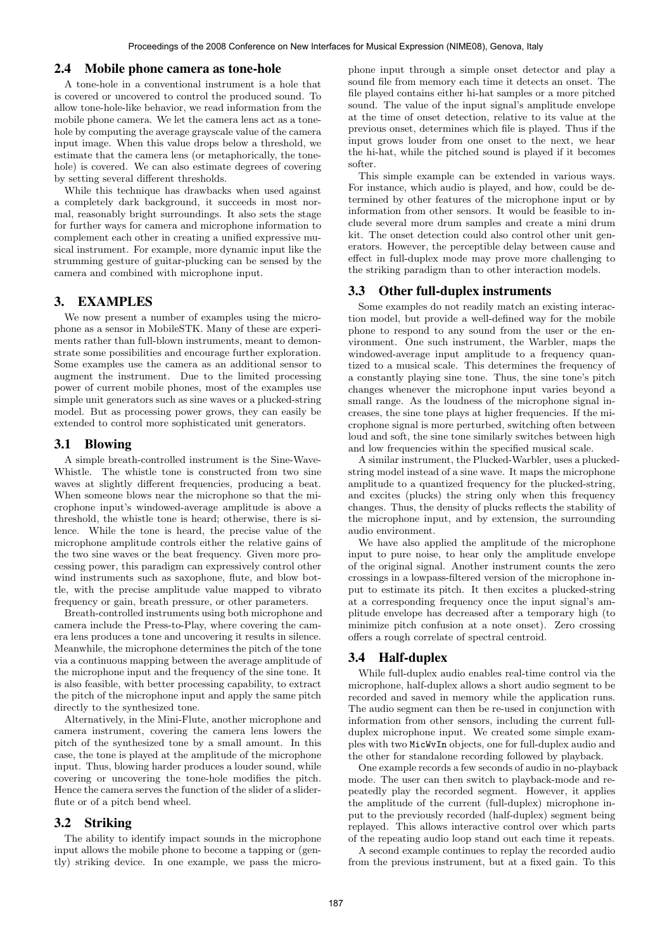#### 2.4 Mobile phone camera as tone-hole

A tone-hole in a conventional instrument is a hole that is covered or uncovered to control the produced sound. To allow tone-hole-like behavior, we read information from the mobile phone camera. We let the camera lens act as a tonehole by computing the average grayscale value of the camera input image. When this value drops below a threshold, we estimate that the camera lens (or metaphorically, the tonehole) is covered. We can also estimate degrees of covering by setting several different thresholds.

While this technique has drawbacks when used against a completely dark background, it succeeds in most normal, reasonably bright surroundings. It also sets the stage for further ways for camera and microphone information to complement each other in creating a unified expressive musical instrument. For example, more dynamic input like the strumming gesture of guitar-plucking can be sensed by the camera and combined with microphone input.

## 3. EXAMPLES

We now present a number of examples using the microphone as a sensor in MobileSTK. Many of these are experiments rather than full-blown instruments, meant to demonstrate some possibilities and encourage further exploration. Some examples use the camera as an additional sensor to augment the instrument. Due to the limited processing power of current mobile phones, most of the examples use simple unit generators such as sine waves or a plucked-string model. But as processing power grows, they can easily be extended to control more sophisticated unit generators.

#### 3.1 Blowing

A simple breath-controlled instrument is the Sine-Wave-Whistle. The whistle tone is constructed from two sine waves at slightly different frequencies, producing a beat. When someone blows near the microphone so that the microphone input's windowed-average amplitude is above a threshold, the whistle tone is heard; otherwise, there is silence. While the tone is heard, the precise value of the microphone amplitude controls either the relative gains of the two sine waves or the beat frequency. Given more processing power, this paradigm can expressively control other wind instruments such as saxophone, flute, and blow bottle, with the precise amplitude value mapped to vibrato frequency or gain, breath pressure, or other parameters.

Breath-controlled instruments using both microphone and camera include the Press-to-Play, where covering the camera lens produces a tone and uncovering it results in silence. Meanwhile, the microphone determines the pitch of the tone via a continuous mapping between the average amplitude of the microphone input and the frequency of the sine tone. It is also feasible, with better processing capability, to extract the pitch of the microphone input and apply the same pitch directly to the synthesized tone.

Alternatively, in the Mini-Flute, another microphone and camera instrument, covering the camera lens lowers the pitch of the synthesized tone by a small amount. In this case, the tone is played at the amplitude of the microphone input. Thus, blowing harder produces a louder sound, while covering or uncovering the tone-hole modifies the pitch. Hence the camera serves the function of the slider of a sliderflute or of a pitch bend wheel.

## 3.2 Striking

The ability to identify impact sounds in the microphone input allows the mobile phone to become a tapping or (gently) striking device. In one example, we pass the microphone input through a simple onset detector and play a sound file from memory each time it detects an onset. The file played contains either hi-hat samples or a more pitched sound. The value of the input signal's amplitude envelope at the time of onset detection, relative to its value at the previous onset, determines which file is played. Thus if the input grows louder from one onset to the next, we hear the hi-hat, while the pitched sound is played if it becomes softer.

This simple example can be extended in various ways. For instance, which audio is played, and how, could be determined by other features of the microphone input or by information from other sensors. It would be feasible to include several more drum samples and create a mini drum kit. The onset detection could also control other unit generators. However, the perceptible delay between cause and effect in full-duplex mode may prove more challenging to the striking paradigm than to other interaction models.

#### 3.3 Other full-duplex instruments

Some examples do not readily match an existing interaction model, but provide a well-defined way for the mobile phone to respond to any sound from the user or the environment. One such instrument, the Warbler, maps the windowed-average input amplitude to a frequency quantized to a musical scale. This determines the frequency of a constantly playing sine tone. Thus, the sine tone's pitch changes whenever the microphone input varies beyond a small range. As the loudness of the microphone signal increases, the sine tone plays at higher frequencies. If the microphone signal is more perturbed, switching often between loud and soft, the sine tone similarly switches between high and low frequencies within the specified musical scale.

A similar instrument, the Plucked-Warbler, uses a pluckedstring model instead of a sine wave. It maps the microphone amplitude to a quantized frequency for the plucked-string, and excites (plucks) the string only when this frequency changes. Thus, the density of plucks reflects the stability of the microphone input, and by extension, the surrounding audio environment.

We have also applied the amplitude of the microphone input to pure noise, to hear only the amplitude envelope of the original signal. Another instrument counts the zero crossings in a lowpass-filtered version of the microphone input to estimate its pitch. It then excites a plucked-string at a corresponding frequency once the input signal's amplitude envelope has decreased after a temporary high (to minimize pitch confusion at a note onset). Zero crossing offers a rough correlate of spectral centroid.

#### 3.4 Half-duplex

While full-duplex audio enables real-time control via the microphone, half-duplex allows a short audio segment to be recorded and saved in memory while the application runs. The audio segment can then be re-used in conjunction with information from other sensors, including the current fullduplex microphone input. We created some simple examples with two MicWvIn objects, one for full-duplex audio and the other for standalone recording followed by playback.

One example records a few seconds of audio in no-playback mode. The user can then switch to playback-mode and repeatedly play the recorded segment. However, it applies the amplitude of the current (full-duplex) microphone input to the previously recorded (half-duplex) segment being replayed. This allows interactive control over which parts of the repeating audio loop stand out each time it repeats.

A second example continues to replay the recorded audio from the previous instrument, but at a fixed gain. To this